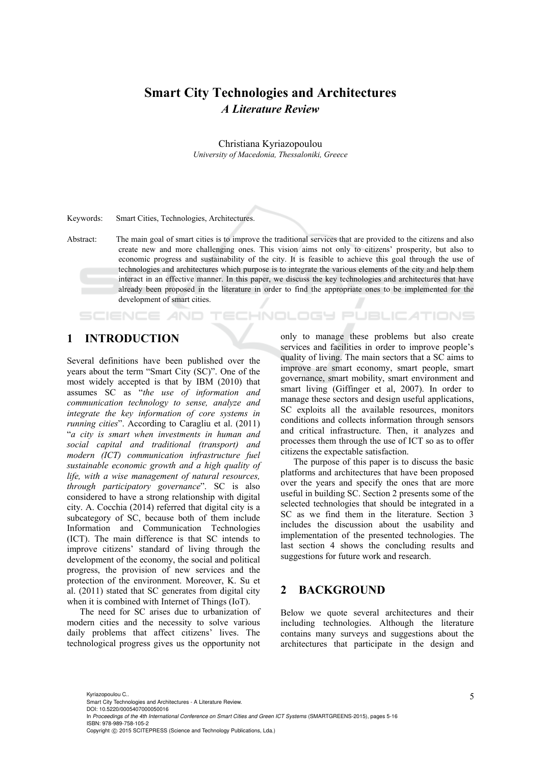# **Smart City Technologies and Architectures**  *A Literature Review*

Christiana Kyriazopoulou *University of Macedonia, Thessaloniki, Greece* 

Keywords: Smart Cities, Technologies, Architectures.

Abstract: The main goal of smart cities is to improve the traditional services that are provided to the citizens and also create new and more challenging ones. This vision aims not only to citizens' prosperity, but also to economic progress and sustainability of the city. It is feasible to achieve this goal through the use of technologies and architectures which purpose is to integrate the various elements of the city and help them interact in an effective manner. In this paper, we discuss the key technologies and architectures that have already been proposed in the literature in order to find the appropriate ones to be implemented for the development of smart cities.

# **1 INTRODUCTION**

**SCIENCE AND** 

Several definitions have been published over the years about the term "Smart City (SC)". One of the most widely accepted is that by IBM (2010) that assumes SC as "*the use of information and communication technology to sense, analyze and integrate the key information of core systems in running cities*". According to Caragliu et al. (2011) "*a city is smart when investments in human and social capital and traditional (transport) and modern (ICT) communication infrastructure fuel sustainable economic growth and a high quality of life, with a wise management of natural resources, through participatory governance*". SC is also considered to have a strong relationship with digital city. A. Cocchia (2014) referred that digital city is a subcategory of SC, because both of them include Information and Communication Technologies (ICT). The main difference is that SC intends to improve citizens' standard of living through the development of the economy, the social and political progress, the provision of new services and the protection of the environment. Moreover, K. Su et al. (2011) stated that SC generates from digital city when it is combined with Internet of Things (IoT).

The need for SC arises due to urbanization of modern cities and the necessity to solve various daily problems that affect citizens' lives. The technological progress gives us the opportunity not

only to manage these problems but also create services and facilities in order to improve people's quality of living. The main sectors that a SC aims to improve are smart economy, smart people, smart governance, smart mobility, smart environment and smart living (Giffinger et al, 2007). In order to manage these sectors and design useful applications, SC exploits all the available resources, monitors conditions and collects information through sensors and critical infrastructure. Then, it analyzes and processes them through the use of ICT so as to offer citizens the expectable satisfaction.

JBLIC ATIONS

The purpose of this paper is to discuss the basic platforms and architectures that have been proposed over the years and specify the ones that are more useful in building SC. Section 2 presents some of the selected technologies that should be integrated in a SC as we find them in the literature. Section 3 includes the discussion about the usability and implementation of the presented technologies. The last section 4 shows the concluding results and suggestions for future work and research.

## **2 BACKGROUND**

Below we quote several architectures and their including technologies. Although the literature contains many surveys and suggestions about the architectures that participate in the design and

Kyriazopoulou C.. Smart City Technologies and Architectures - A Literature Review. DOI: 10.5220/0005407000050016 In *Proceedings of the 4th International Conference on Smart Cities and Green ICT Systems* (SMARTGREENS-2015), pages 5-16 ISBN: 978-989-758-105-2 Copyright © 2015 SCITEPRESS (Science and Technology Publications, Lda.)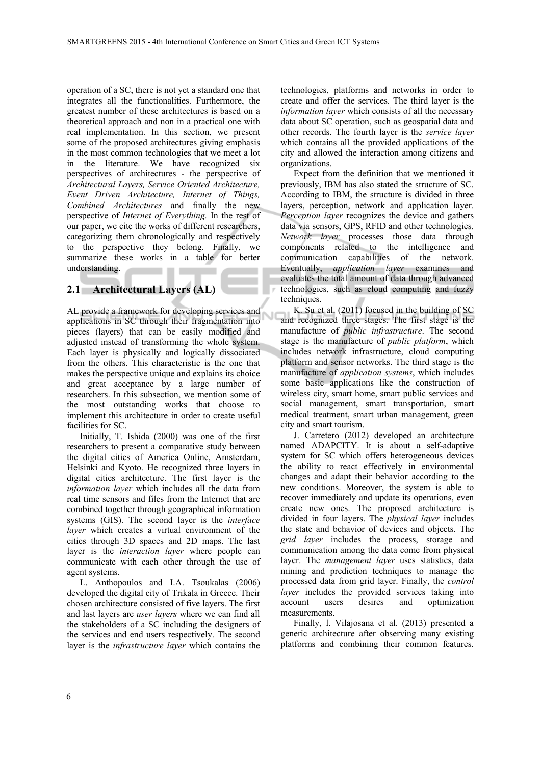operation of a SC, there is not yet a standard one that integrates all the functionalities. Furthermore, the greatest number of these architectures is based on a theoretical approach and non in a practical one with real implementation. In this section, we present some of the proposed architectures giving emphasis in the most common technologies that we meet a lot in the literature. We have recognized six perspectives of architectures - the perspective of *Architectural Layers, Service Oriented Architecture, Event Driven Architecture, Internet of Things, Combined Architectures* and finally the new perspective of *Internet of Everything.* In the rest of our paper, we cite the works of different researchers, categorizing them chronologically and respectively to the perspective they belong. Finally, we summarize these works in a table for better understanding.

# **2.1 Architectural Layers (AL)**

AL provide a framework for developing services and applications in SC through their fragmentation into pieces (layers) that can be easily modified and adjusted instead of transforming the whole system. Each layer is physically and logically dissociated from the others. This characteristic is the one that makes the perspective unique and explains its choice and great acceptance by a large number of researchers. In this subsection, we mention some of the most outstanding works that choose to implement this architecture in order to create useful facilities for SC.

Initially, T. Ishida (2000) was one of the first researchers to present a comparative study between the digital cities of America Online, Amsterdam, Helsinki and Kyoto. He recognized three layers in digital cities architecture. The first layer is the *information layer* which includes all the data from real time sensors and files from the Internet that are combined together through geographical information systems (GIS). The second layer is the *interface layer* which creates a virtual environment of the cities through 3D spaces and 2D maps. The last layer is the *interaction layer* where people can communicate with each other through the use of agent systems.

L. Anthopoulos and I.A. Tsoukalas (2006) developed the digital city of Trikala in Greece. Their chosen architecture consisted of five layers. The first and last layers are *user layers* where we can find all the stakeholders of a SC including the designers of the services and end users respectively. The second layer is the *infrastructure layer* which contains the

technologies, platforms and networks in order to create and offer the services. The third layer is the *information layer* which consists of all the necessary data about SC operation, such as geospatial data and other records. The fourth layer is the *service layer* which contains all the provided applications of the city and allowed the interaction among citizens and organizations.

Expect from the definition that we mentioned it previously, IBM has also stated the structure of SC. According to IBM, the structure is divided in three layers, perception, network and application layer. *Perception layer* recognizes the device and gathers data via sensors, GPS, RFID and other technologies. *Network layer* processes those data through components related to the intelligence and communication capabilities of the network. Eventually, *application layer* examines and evaluates the total amount of data through advanced technologies, such as cloud computing and fuzzy techniques.

K. Su et al. (2011) focused in the building of SC and recognized three stages. The first stage is the manufacture of *public infrastructure*. The second stage is the manufacture of *public platform*, which includes network infrastructure, cloud computing platform and sensor networks. The third stage is the manufacture of *application systems*, which includes some basic applications like the construction of wireless city, smart home, smart public services and social management, smart transportation, smart medical treatment, smart urban management, green city and smart tourism.

J. Carretero (2012) developed an architecture named ADAPCITY. It is about a self-adaptive system for SC which offers heterogeneous devices the ability to react effectively in environmental changes and adapt their behavior according to the new conditions. Moreover, the system is able to recover immediately and update its operations, even create new ones. The proposed architecture is divided in four layers. The *physical layer* includes the state and behavior of devices and objects. The *grid layer* includes the process, storage and communication among the data come from physical layer. The *management layer* uses statistics, data mining and prediction techniques to manage the processed data from grid layer. Finally, the *control layer* includes the provided services taking into account users desires and optimization measurements.

Finally, l. Vilajosana et al. (2013) presented a generic architecture after observing many existing platforms and combining their common features.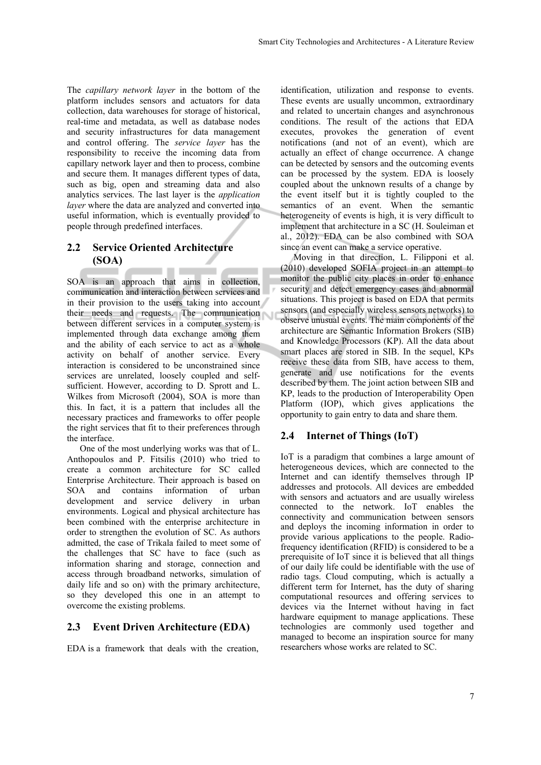The *capillary network layer* in the bottom of the platform includes sensors and actuators for data collection, data warehouses for storage of historical, real-time and metadata, as well as database nodes and security infrastructures for data management and control offering. The *service layer* has the responsibility to receive the incoming data from capillary network layer and then to process, combine and secure them. It manages different types of data, such as big, open and streaming data and also analytics services. The last layer is the *application layer* where the data are analyzed and converted into useful information, which is eventually provided to people through predefined interfaces.

#### **2.2 Service Oriented Architecture (SOA)**  ٠

SOA is an approach that aims in collection, communication and interaction between services and in their provision to the users taking into account their needs and requests. The communication between different services in a computer system is implemented through data exchange among them and the ability of each service to act as a whole activity on behalf of another service. Every interaction is considered to be unconstrained since services are unrelated, loosely coupled and selfsufficient. However, according to D. Sprott and L. Wilkes from Microsoft (2004), SOA is more than this. In fact, it is a pattern that includes all the necessary practices and frameworks to offer people the right services that fit to their preferences through the interface.

One of the most underlying works was that of L. Anthopoulos and P. Fitsilis (2010) who tried to create a common architecture for SC called Enterprise Architecture. Their approach is based on SOA and contains information of urban development and service delivery in urban environments. Logical and physical architecture has been combined with the enterprise architecture in order to strengthen the evolution of SC. As authors admitted, the case of Trikala failed to meet some of the challenges that SC have to face (such as information sharing and storage, connection and access through broadband networks, simulation of daily life and so on) with the primary architecture, so they developed this one in an attempt to overcome the existing problems.

## **2.3 Event Driven Architecture (EDA)**

EDA is a framework that deals with the creation,

identification, utilization and response to events. These events are usually uncommon, extraordinary and related to uncertain changes and asynchronous conditions. The result of the actions that EDA executes, provokes the generation of event notifications (and not of an event), which are actually an effect of change occurrence. A change can be detected by sensors and the outcoming events can be processed by the system. EDA is loosely coupled about the unknown results of a change by the event itself but it is tightly coupled to the semantics of an event. When the semantic heterogeneity of events is high, it is very difficult to implement that architecture in a SC (H. Souleiman et al., 2012). EDA can be also combined with SOA since an event can make a service operative.

Moving in that direction, L. Filipponi et al. (2010) developed SOFIA project in an attempt to monitor the public city places in order to enhance security and detect emergency cases and abnormal situations. This project is based on EDA that permits sensors (and especially wireless sensors networks) to observe unusual events. The main components of the architecture are Semantic Information Brokers (SIB) and Knowledge Processors (KP). All the data about smart places are stored in SIB. In the sequel, KPs receive these data from SIB, have access to them, generate and use notifications for the events described by them. The joint action between SIB and KP, leads to the production of Interoperability Open Platform (IOP), which gives applications the opportunity to gain entry to data and share them.

## **2.4 Internet of Things (IoT)**

IoT is a paradigm that combines a large amount of heterogeneous devices, which are connected to the Internet and can identify themselves through IP addresses and protocols. All devices are embedded with sensors and actuators and are usually wireless connected to the network. IoT enables the connectivity and communication between sensors and deploys the incoming information in order to provide various applications to the people. Radiofrequency identification (RFID) is considered to be a prerequisite of IoT since it is believed that all things of our daily life could be identifiable with the use of radio tags. Cloud computing, which is actually a different term for Internet, has the duty of sharing computational resources and offering services to devices via the Internet without having in fact hardware equipment to manage applications. These technologies are commonly used together and managed to become an inspiration source for many researchers whose works are related to SC.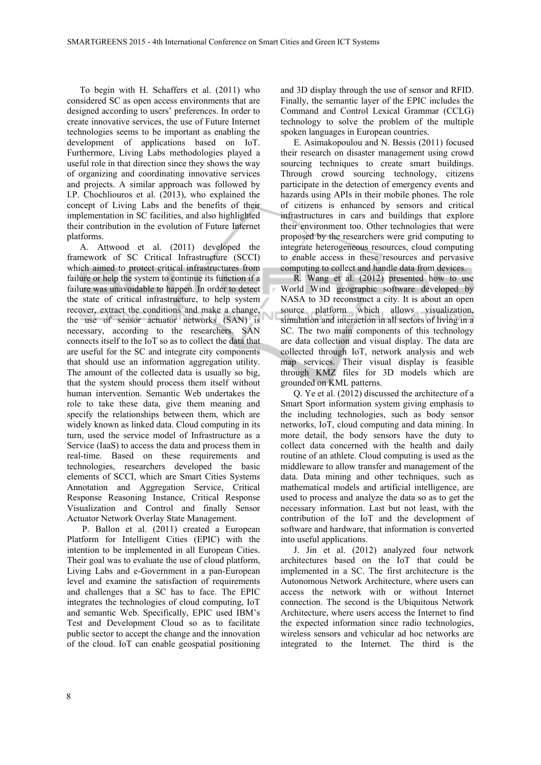To begin with H. Schaffers et al. (2011) who considered SC as open access environments that are designed according to users' preferences. In order to create innovative services, the use of Future Internet technologies seems to be important as enabling the development of applications based on IoT. Furthermore, Living Labs methodologies played a useful role in that direction since they shows the way of organizing and coordinating innovative services and projects. A similar approach was followed by I.P. Chochliouros et al. (2013), who explained the concept of Living Labs and the benefits of their implementation in SC facilities, and also highlighted their contribution in the evolution of Future Internet platforms.

A. Attwood et al. (2011) developed the framework of SC Critical Infrastructure (SCCI) which aimed to protect critical infrastructures from failure or help the system to continue its function if a failure was unavoidable to happen. In order to detect the state of critical infrastructure, to help system recover, extract the conditions and make a change, the use of sensor actuator networks (SAN) is necessary, according to the researchers. SAN connects itself to the IoT so as to collect the data that are useful for the SC and integrate city components that should use an information aggregation utility. The amount of the collected data is usually so big, that the system should process them itself without human intervention. Semantic Web undertakes the role to take these data, give them meaning and specify the relationships between them, which are widely known as linked data. Cloud computing in its turn, used the service model of Infrastructure as a Service (IaaS) to access the data and process them in real-time. Based on these requirements and technologies, researchers developed the basic elements of SCCI, which are Smart Cities Systems Annotation and Aggregation Service, Critical Response Reasoning Instance, Critical Response Visualization and Control and finally Sensor Actuator Network Overlay State Management.

 P. Ballon et al. (2011) created a European Platform for Intelligent Cities (EPIC) with the intention to be implemented in all European Cities. Their goal was to evaluate the use of cloud platform, Living Labs and e-Government in a pan-European level and examine the satisfaction of requirements and challenges that a SC has to face. The EPIC integrates the technologies of cloud computing, IoT and semantic Web. Specifically, EPIC used IBM's Test and Development Cloud so as to facilitate public sector to accept the change and the innovation of the cloud. IoT can enable geospatial positioning

and 3D display through the use of sensor and RFID. Finally, the semantic layer of the EPIC includes the Command and Control Lexical Grammar (CCLG) technology to solve the problem of the multiple spoken languages in European countries.

E. Asimakopoulou and N. Bessis (2011) focused their research on disaster management using crowd sourcing techniques to create smart buildings. Through crowd sourcing technology, citizens participate in the detection of emergency events and hazards using APIs in their mobile phones. The role of citizens is enhanced by sensors and critical infrastructures in cars and buildings that explore their environment too. Other technologies that were proposed by the researchers were grid computing to integrate heterogeneous resources, cloud computing to enable access in these resources and pervasive computing to collect and handle data from devices.

R. Wang et al. (2012) presented how to use World Wind geographic software developed by NASA to 3D reconstruct a city. It is about an open source platform which allows visualization, simulation and interaction in all sectors of living in a SC. The two main components of this technology are data collection and visual display. The data are collected through IoT, network analysis and web map services. Their visual display is feasible through KMZ files for 3D models which are grounded on KML patterns.

Q. Ye et al. (2012) discussed the architecture of a Smart Sport information system giving emphasis to the including technologies, such as body sensor networks, IoT, cloud computing and data mining. In more detail, the body sensors have the duty to collect data concerned with the health and daily routine of an athlete. Cloud computing is used as the middleware to allow transfer and management of the data. Data mining and other techniques, such as mathematical models and artificial intelligence, are used to process and analyze the data so as to get the necessary information. Last but not least, with the contribution of the IoT and the development of software and hardware, that information is converted into useful applications.

J. Jin et al. (2012) analyzed four network architectures based on the IoT that could be implemented in a SC. The first architecture is the Autonomous Network Architecture, where users can access the network with or without Internet connection. The second is the Ubiquitous Network Architecture, where users access the Internet to find the expected information since radio technologies, wireless sensors and vehicular ad hoc networks are integrated to the Internet. The third is the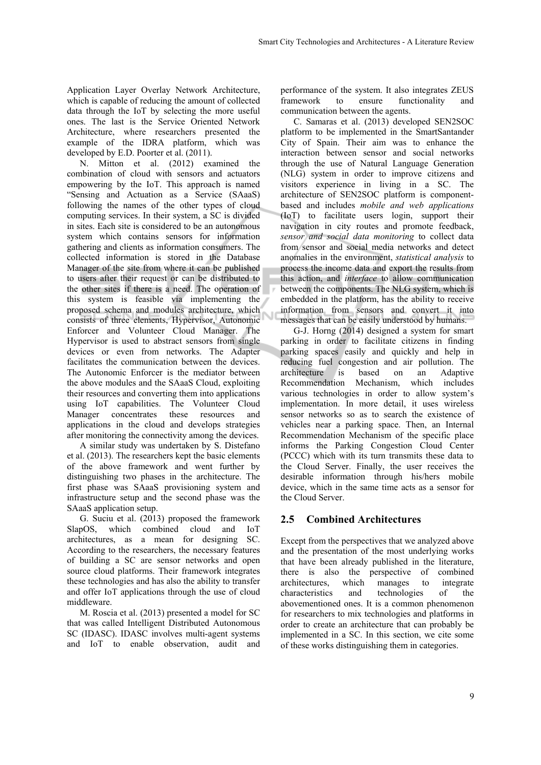Application Layer Overlay Network Architecture, which is capable of reducing the amount of collected data through the IoT by selecting the more useful ones. The last is the Service Oriented Network Architecture, where researchers presented the example of the IDRA platform, which was developed by E.D. Poorter et al. (2011).

N. Mitton et al. (2012) examined the combination of cloud with sensors and actuators empowering by the IoT. This approach is named "Sensing and Actuation as a Service (SAaaS) following the names of the other types of cloud computing services. In their system, a SC is divided in sites. Each site is considered to be an autonomous system which contains sensors for information gathering and clients as information consumers. The collected information is stored in the Database Manager of the site from where it can be published to users after their request or can be distributed to the other sites if there is a need. The operation of this system is feasible via implementing the proposed schema and modules architecture, which consists of three elements, Hypervisor, Autonomic Enforcer and Volunteer Cloud Manager. The Hypervisor is used to abstract sensors from single devices or even from networks. The Adapter facilitates the communication between the devices. The Autonomic Enforcer is the mediator between the above modules and the SAaaS Cloud, exploiting their resources and converting them into applications using IoT capabilities. The Volunteer Cloud Manager concentrates these resources and applications in the cloud and develops strategies after monitoring the connectivity among the devices.

A similar study was undertaken by S. Distefano et al. (2013). The researchers kept the basic elements of the above framework and went further by distinguishing two phases in the architecture. The first phase was SAaaS provisioning system and infrastructure setup and the second phase was the SAaaS application setup.

G. Suciu et al. (2013) proposed the framework SlapOS, which combined cloud and IoT architectures, as a mean for designing SC. According to the researchers, the necessary features of building a SC are sensor networks and open source cloud platforms. Their framework integrates these technologies and has also the ability to transfer and offer IoT applications through the use of cloud middleware.

M. Roscia et al. (2013) presented a model for SC that was called Intelligent Distributed Autonomous SC (IDASC). IDASC involves multi-agent systems and IoT to enable observation, audit and

performance of the system. It also integrates ZEUS framework to ensure functionality and communication between the agents.

C. Samaras et al. (2013) developed SEN2SOC platform to be implemented in the SmartSantander City of Spain. Their aim was to enhance the interaction between sensor and social networks through the use of Natural Language Generation (NLG) system in order to improve citizens and visitors experience in living in a SC. The architecture of SEN2SOC platform is componentbased and includes *mobile and web applications* (IoT) to facilitate users login, support their navigation in city routes and promote feedback, *sensor and social data monitoring* to collect data from sensor and social media networks and detect anomalies in the environment, *statistical analysis* to process the income data and export the results from this action, and *interface* to allow communication between the components. The NLG system, which is embedded in the platform, has the ability to receive information from sensors and convert it into messages that can be easily understood by humans.

G-J. Horng (2014) designed a system for smart parking in order to facilitate citizens in finding parking spaces easily and quickly and help in reducing fuel congestion and air pollution. The architecture is based on an Adaptive Recommendation Mechanism, which includes various technologies in order to allow system's implementation. In more detail, it uses wireless sensor networks so as to search the existence of vehicles near a parking space. Then, an Internal Recommendation Mechanism of the specific place informs the Parking Congestion Cloud Center (PCCC) which with its turn transmits these data to the Cloud Server. Finally, the user receives the desirable information through his/hers mobile device, which in the same time acts as a sensor for the Cloud Server.

## **2.5 Combined Architectures**

Except from the perspectives that we analyzed above and the presentation of the most underlying works that have been already published in the literature, there is also the perspective of combined architectures, which manages to integrate characteristics and technologies of the abovementioned ones. It is a common phenomenon for researchers to mix technologies and platforms in order to create an architecture that can probably be implemented in a SC. In this section, we cite some of these works distinguishing them in categories.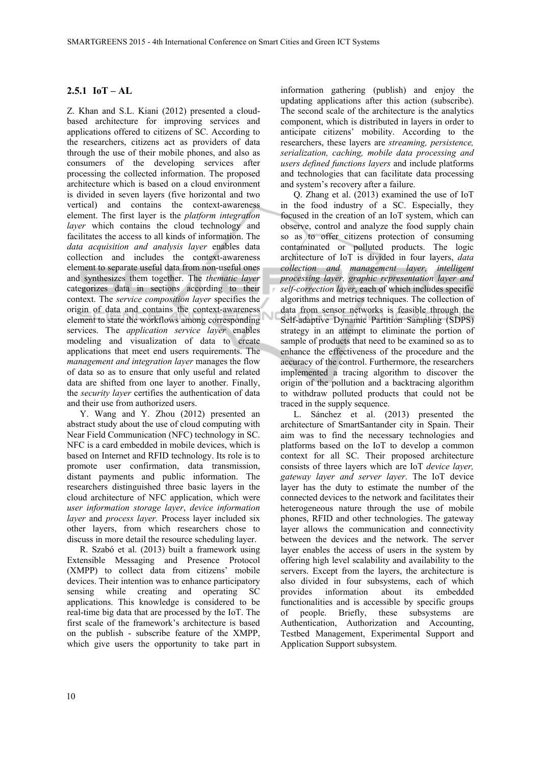# **2.5.1 IoT – AL**

Z. Khan and S.L. Kiani (2012) presented a cloudbased architecture for improving services and applications offered to citizens of SC. According to the researchers, citizens act as providers of data through the use of their mobile phones, and also as consumers of the developing services after processing the collected information. The proposed architecture which is based on a cloud environment is divided in seven layers (five horizontal and two vertical) and contains the context-awareness element. The first layer is the *platform integration layer* which contains the cloud technology and facilitates the access to all kinds of information. The *data acquisition and analysis layer* enables data collection and includes the context-awareness element to separate useful data from non-useful ones and synthesizes them together. The *thematic layer*  categorizes data in sections according to their context. The *service composition layer* specifies the origin of data and contains the context-awareness element to state the workflows among corresponding services. The *application service layer* enables modeling and visualization of data to create applications that meet end users requirements. The *management and integration layer* manages the flow of data so as to ensure that only useful and related data are shifted from one layer to another. Finally, the *security layer* certifies the authentication of data and their use from authorized users.

Y. Wang and Y. Zhou (2012) presented an abstract study about the use of cloud computing with Near Field Communication (NFC) technology in SC. NFC is a card embedded in mobile devices, which is based on Internet and RFID technology. Its role is to promote user confirmation, data transmission, distant payments and public information. The researchers distinguished three basic layers in the cloud architecture of NFC application, which were *user information storage layer*, *device information layer* and *process layer.* Process layer included six other layers, from which researchers chose to discuss in more detail the resource scheduling layer.

R. Szabó et al. (2013) built a framework using Extensible Messaging and Presence Protocol (XMPP) to collect data from citizens' mobile devices. Their intention was to enhance participatory sensing while creating and operating SC applications. This knowledge is considered to be real-time big data that are processed by the IoT. The first scale of the framework's architecture is based on the publish - subscribe feature of the XMPP, which give users the opportunity to take part in

information gathering (publish) and enjoy the updating applications after this action (subscribe). The second scale of the architecture is the analytics component, which is distributed in layers in order to anticipate citizens' mobility. According to the researchers, these layers are *streaming, persistence, serialization, caching, mobile data processing and users defined functions layers* and include platforms and technologies that can facilitate data processing and system's recovery after a failure.

Q. Zhang et al. (2013) examined the use of IoT in the food industry of a SC. Especially, they focused in the creation of an IoT system, which can observe, control and analyze the food supply chain so as to offer citizens protection of consuming contaminated or polluted products. The logic architecture of IoT is divided in four layers, *data collection and management layer, intelligent processing layer, graphic representation layer and self-correction layer*, each of which includes specific algorithms and metrics techniques. The collection of data from sensor networks is feasible through the Self-adaptive Dynamic Partition Sampling (SDPS) strategy in an attempt to eliminate the portion of sample of products that need to be examined so as to enhance the effectiveness of the procedure and the accuracy of the control. Furthermore, the researchers implemented a tracing algorithm to discover the origin of the pollution and a backtracing algorithm to withdraw polluted products that could not be traced in the supply sequence.

L. Sánchez et al. (2013) presented the architecture of SmartSantander city in Spain. Their aim was to find the necessary technologies and platforms based on the IoT to develop a common context for all SC. Their proposed architecture consists of three layers which are IoT *device layer, gateway layer and server layer*. The IoT device layer has the duty to estimate the number of the connected devices to the network and facilitates their heterogeneous nature through the use of mobile phones, RFID and other technologies. The gateway layer allows the communication and connectivity between the devices and the network. The server layer enables the access of users in the system by offering high level scalability and availability to the servers. Except from the layers, the architecture is also divided in four subsystems, each of which provides information about its embedded functionalities and is accessible by specific groups of people. Briefly, these subsystems are Authentication, Authorization and Accounting, Testbed Management, Experimental Support and Application Support subsystem.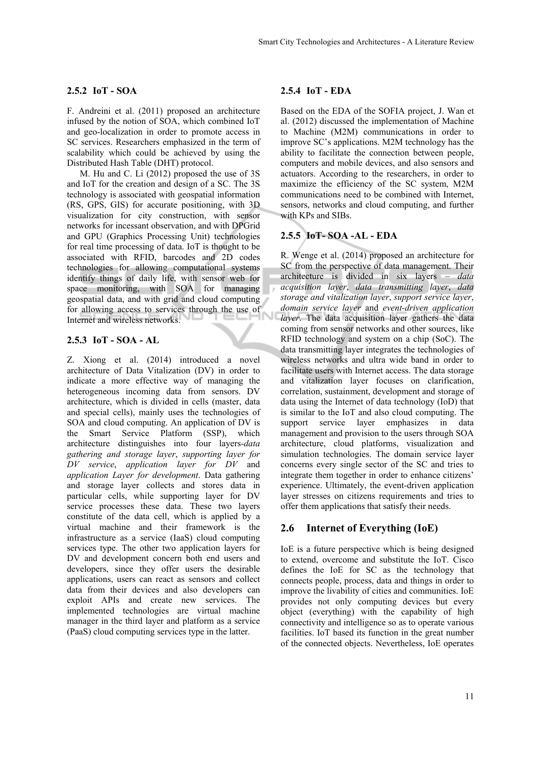#### **2.5.2 IoT - SOA**

F. Andreini et al. (2011) proposed an architecture infused by the notion of SOA, which combined IoT and geo-localization in order to promote access in SC services. Researchers emphasized in the term of scalability which could be achieved by using the Distributed Hash Table (DHT) protocol.

M. Hu and C. Li (2012) proposed the use of 3S and IoT for the creation and design of a SC. The 3S technology is associated with geospatial information (RS, GPS, GIS) for accurate positioning, with 3D visualization for city construction, with sensor networks for incessant observation, and with DPGrid and GPU (Graphics Processing Unit) technologies for real time processing of data. IoT is thought to be associated with RFID, barcodes and 2D codes technologies for allowing computational systems identify things of daily life, with sensor web for space monitoring, with SOA for managing geospatial data, and with grid and cloud computing for allowing access to services through the use of Internet and wireless networks.

#### **2.5.3 IoT - SOA - AL**

Z. Xiong et al. (2014) introduced a novel architecture of Data Vitalization (DV) in order to indicate a more effective way of managing the heterogeneous incoming data from sensors. DV architecture, which is divided in cells (master, data and special cells), mainly uses the technologies of SOA and cloud computing. An application of DV is the Smart Service Platform (SSP), which architecture distinguishes into four layers-*data gathering and storage layer*, *supporting layer for DV service*, *application layer for DV* and *application Layer for development*. Data gathering and storage layer collects and stores data in particular cells, while supporting layer for DV service processes these data. These two layers constitute of the data cell, which is applied by a virtual machine and their framework is the infrastructure as a service (IaaS) cloud computing services type. The other two application layers for DV and development concern both end users and developers, since they offer users the desirable applications, users can react as sensors and collect data from their devices and also developers can exploit APIs and create new services. The implemented technologies are virtual machine manager in the third layer and platform as a service (PaaS) cloud computing services type in the latter.

#### **2.5.4 IoT - EDA**

Based on the EDA of the SOFIA project, J. Wan et al. (2012) discussed the implementation of Machine to Machine (M2M) communications in order to improve SC's applications. M2M technology has the ability to facilitate the connection between people, computers and mobile devices, and also sensors and actuators. According to the researchers, in order to maximize the efficiency of the SC system, M2M communications need to be combined with Internet, sensors, networks and cloud computing, and further with KPs and SIBs.

# **2.5.5 IoT- SOA -AL - EDA**

R. Wenge et al. (2014) proposed an architecture for SC from the perspective of data management. Their architecture is divided in six layers – *data acquisition layer*, *data transmitting layer*, *data storage and vitalization layer*, *support service layer*, *domain service layer* and *event-driven application layer*. The data acquisition layer gathers the data coming from sensor networks and other sources, like RFID technology and system on a chip (SoC). The data transmitting layer integrates the technologies of wireless networks and ultra wide band in order to facilitate users with Internet access. The data storage and vitalization layer focuses on clarification, correlation, sustainment, development and storage of data using the Internet of data technology (IoD) that is similar to the IoT and also cloud computing. The support service layer emphasizes in data management and provision to the users through SOA architecture, cloud platforms, visualization and simulation technologies. The domain service layer concerns every single sector of the SC and tries to integrate them together in order to enhance citizens' experience. Ultimately, the event-driven application layer stresses on citizens requirements and tries to offer them applications that satisfy their needs.

#### **2.6 Internet of Everything (IoE)**

IoE is a future perspective which is being designed to extend, overcome and substitute the IoT. Cisco defines the IoE for SC as the technology that connects people, process, data and things in order to improve the livability of cities and communities. IoE provides not only computing devices but every object (everything) with the capability of high connectivity and intelligence so as to operate various facilities. IoT based its function in the great number of the connected objects. Nevertheless, IoE operates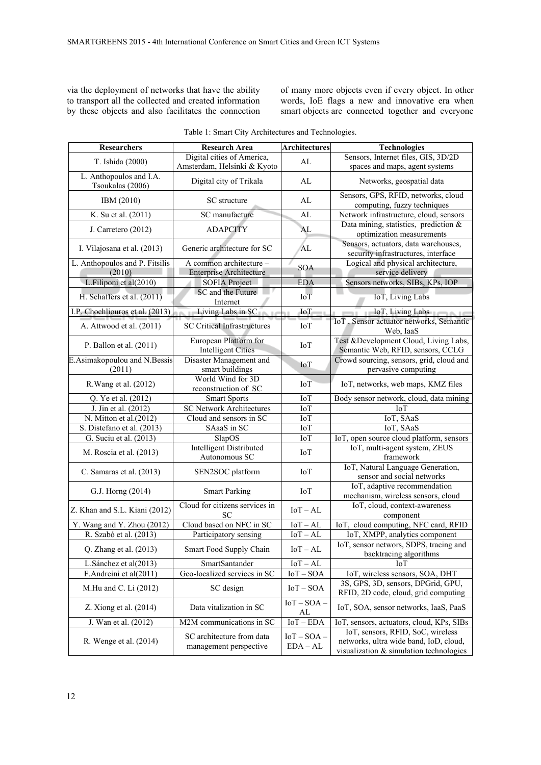via the deployment of networks that have the ability to transport all the collected and created information by these objects and also facilitates the connection of many more objects even if every object. In other words, IoE flags a new and innovative era when smart objects are connected together and everyone

| Researchers                                 | <b>Research Area</b>                                      | <b>Architectures</b>        | <b>Technologies</b>                                                                                                    |
|---------------------------------------------|-----------------------------------------------------------|-----------------------------|------------------------------------------------------------------------------------------------------------------------|
| T. Ishida (2000)                            | Digital cities of America,<br>Amsterdam, Helsinki & Kyoto | AL                          | Sensors, Internet files, GIS, 3D/2D<br>spaces and maps, agent systems                                                  |
| L. Anthopoulos and I.A.<br>Tsoukalas (2006) | Digital city of Trikala                                   | AL                          | Networks, geospatial data                                                                                              |
| IBM (2010)                                  | SC structure                                              | AL                          | Sensors, GPS, RFID, networks, cloud<br>computing, fuzzy techniques                                                     |
| K. Su et al. (2011)                         | SC manufacture                                            | AL                          | Network infrastructure, cloud, sensors                                                                                 |
| J. Carretero (2012)                         | <b>ADAPCITY</b>                                           | AL                          | Data mining, statistics, prediction $\&$<br>optimization measurements                                                  |
| I. Vilajosana et al. (2013)                 | Generic architecture for SC                               | AL                          | Sensors, actuators, data warehouses,<br>security infrastructures, interface                                            |
| L. Anthopoulos and P. Fitsilis<br>(2010)    | A common architecture -<br><b>Enterprise Architecture</b> | <b>SOA</b>                  | Logical and physical architecture,<br>service delivery                                                                 |
| L.Filiponi et al(2010)                      | <b>SOFIA Project</b>                                      | <b>EDA</b>                  | Sensors networks, SIBs, KPs, IOP                                                                                       |
| H. Schaffers et al. (2011)                  | SC and the Future<br>Internet                             | $IoT$                       | IoT, Living Labs                                                                                                       |
| I.P. Chochliouros et al. (2013)             | Living Labs in SC                                         | IoT                         | <b>IoT</b> , Living Labs                                                                                               |
| A. Attwood et al. (2011)                    | <b>SC Critical Infrastructures</b>                        | IоT                         | IoT, Sensor actuator networks, Semantic<br>Web, IaaS                                                                   |
| P. Ballon et al. (2011)                     | European Platform for<br><b>Intelligent Cities</b>        | IoT                         | Test &Development Cloud, Living Labs,<br>Semantic Web, RFID, sensors, CCLG                                             |
| E.Asimakopoulou and N.Bessis<br>(2011)      | Disaster Management and<br>smart buildings                | IoT                         | Crowd sourcing, sensors, grid, cloud and<br>pervasive computing                                                        |
| R. Wang et al. (2012)                       | World Wind for 3D<br>reconstruction of SC                 | <b>IoT</b>                  | IoT, networks, web maps, KMZ files                                                                                     |
| Q. Ye et al. (2012)                         | <b>Smart Sports</b>                                       | IoT                         | Body sensor network, cloud, data mining                                                                                |
| J. Jin et al. (2012)                        | <b>SC Network Architectures</b>                           | IoT                         | IoT                                                                                                                    |
| N. Mitton et al. $(2012)$                   | Cloud and sensors in SC                                   | IoT                         | IoT, SAaS                                                                                                              |
| S. Distefano et al. (2013)                  | SAaaS in SC                                               | IoT                         | IoT, SAaS                                                                                                              |
| G. Suciu et al. (2013)                      | SlapOS                                                    | IoT                         | IoT, open source cloud platform, sensors                                                                               |
| M. Roscia et al. (2013)                     | <b>Intelligent Distributed</b><br>Autonomous SC           | IoT                         | IoT, multi-agent system, ZEUS<br>framework                                                                             |
| C. Samaras et al. (2013)                    | SEN2SOC platform                                          | <b>IoT</b>                  | IoT, Natural Language Generation,<br>sensor and social networks                                                        |
| G.J. Horng (2014)                           | <b>Smart Parking</b>                                      | <b>IoT</b>                  | IoT, adaptive recommendation<br>mechanism, wireless sensors, cloud                                                     |
| Z. Khan and S.L. Kiani (2012)               | Cloud for citizens services in<br><b>SC</b>               | $IoT - AL$                  | IoT, cloud, context-awareness<br>component                                                                             |
| Y. Wang and Y. Zhou (2012)                  | Cloud based on NFC in SC                                  | $IoT - AL$                  | IoT, cloud computing, NFC card, RFID                                                                                   |
| R. Szabó et al. (2013)                      | Participatory sensing                                     | $IoT - AL$                  | IoT, XMPP, analytics component                                                                                         |
| Q. Zhang et al. (2013)                      | Smart Food Supply Chain                                   | $IoT - AL$                  | IoT, sensor networs, SDPS, tracing and<br>backtracing algorithms                                                       |
| L.Sánchez et al(2013)                       | SmartSantander                                            | $IoT - AL$                  | <b>IoT</b>                                                                                                             |
| F.Andreini et al(2011)                      | Geo-localized services in SC                              | $IoT - SOA$                 | IoT, wireless sensors, SOA, DHT                                                                                        |
| M.Hu and C. Li (2012)                       | SC design                                                 | $IoT - SOA$                 | 3S, GPS, 3D, sensors, DPGrid, GPU,<br>RFID, 2D code, cloud, grid computing                                             |
| Z. Xiong et al. $(2014)$                    | Data vitalization in SC                                   | $IoT - SOA -$<br>AL         | IoT, SOA, sensor networks, IaaS, PaaS                                                                                  |
| J. Wan et al. (2012)                        | M2M communications in SC                                  | $IoT - EDA$                 | IoT, sensors, actuators, cloud, KPs, SIBs                                                                              |
| R. Wenge et al. (2014)                      | SC architecture from data<br>management perspective       | $IoT - SOA -$<br>$EDA - AL$ | IoT, sensors, RFID, SoC, wireless<br>networks, ultra wide band, IoD, cloud,<br>visualization & simulation technologies |

| Table 1: Smart City Architectures and Technologies. |  |
|-----------------------------------------------------|--|
|-----------------------------------------------------|--|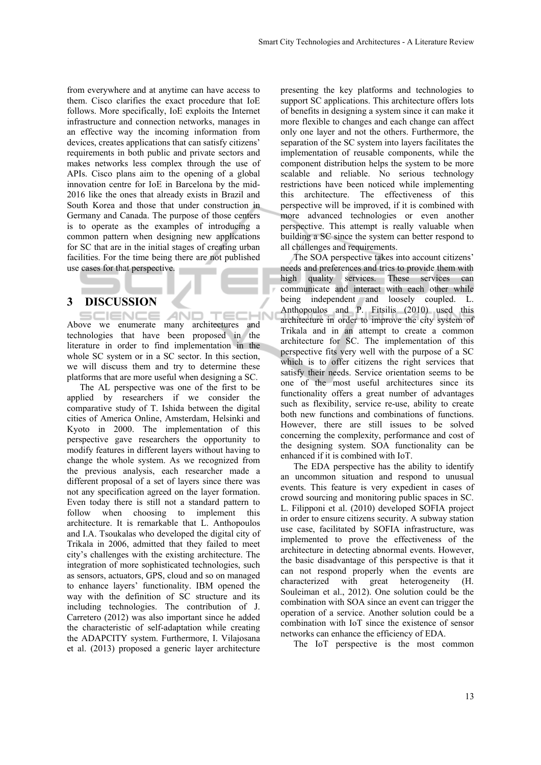from everywhere and at anytime can have access to them. Cisco clarifies the exact procedure that IoE follows. More specifically, IoE exploits the Internet infrastructure and connection networks, manages in an effective way the incoming information from devices, creates applications that can satisfy citizens' requirements in both public and private sectors and makes networks less complex through the use of APIs. Cisco plans aim to the opening of a global innovation centre for IoE in Barcelona by the mid-2016 like the ones that already exists in Brazil and South Korea and those that under construction in Germany and Canada. The purpose of those centers is to operate as the examples of introducing a common pattern when designing new applications for SC that are in the initial stages of creating urban facilities. For the time being there are not published use cases for that perspective.

# **3 DISCUSSION**

**AND TECHN IENCE** Above we enumerate many architectures and technologies that have been proposed in the literature in order to find implementation in the whole SC system or in a SC sector. In this section, we will discuss them and try to determine these platforms that are more useful when designing a SC.

The AL perspective was one of the first to be applied by researchers if we consider the comparative study of T. Ishida between the digital cities of America Online, Amsterdam, Helsinki and Kyoto in 2000. The implementation of this perspective gave researchers the opportunity to modify features in different layers without having to change the whole system. As we recognized from the previous analysis, each researcher made a different proposal of a set of layers since there was not any specification agreed on the layer formation. Even today there is still not a standard pattern to follow when choosing to implement this architecture. It is remarkable that L. Anthopoulos and I.A. Tsoukalas who developed the digital city of Trikala in 2006, admitted that they failed to meet city's challenges with the existing architecture. The integration of more sophisticated technologies, such as sensors, actuators, GPS, cloud and so on managed to enhance layers' functionality. IBM opened the way with the definition of SC structure and its including technologies. The contribution of J. Carretero (2012) was also important since he added the characteristic of self-adaptation while creating the ADAPCITY system. Furthermore, I. Vilajosana et al. (2013) proposed a generic layer architecture

presenting the key platforms and technologies to support SC applications. This architecture offers lots of benefits in designing a system since it can make it more flexible to changes and each change can affect only one layer and not the others. Furthermore, the separation of the SC system into layers facilitates the implementation of reusable components, while the component distribution helps the system to be more scalable and reliable. No serious technology restrictions have been noticed while implementing this architecture. The effectiveness of this perspective will be improved, if it is combined with more advanced technologies or even another perspective. This attempt is really valuable when building a SC since the system can better respond to all challenges and requirements.

The SOA perspective takes into account citizens' needs and preferences and tries to provide them with high quality services. These services can communicate and interact with each other while being independent and loosely coupled. L. Anthopoulos and P. Fitsilis (2010) used this architecture in order to improve the city system of Trikala and in an attempt to create a common architecture for SC. The implementation of this perspective fits very well with the purpose of a SC which is to offer citizens the right services that satisfy their needs. Service orientation seems to be one of the most useful architectures since its functionality offers a great number of advantages such as flexibility, service re-use, ability to create both new functions and combinations of functions. However, there are still issues to be solved concerning the complexity, performance and cost of the designing system. SOA functionality can be enhanced if it is combined with IoT.

The EDA perspective has the ability to identify an uncommon situation and respond to unusual events. This feature is very expedient in cases of crowd sourcing and monitoring public spaces in SC. L. Filipponi et al. (2010) developed SOFIA project in order to ensure citizens security. A subway station use case, facilitated by SOFIA infrastructure, was implemented to prove the effectiveness of the architecture in detecting abnormal events. However, the basic disadvantage of this perspective is that it can not respond properly when the events are characterized with great heterogeneity (H. Souleiman et al., 2012). One solution could be the combination with SOA since an event can trigger the operation of a service. Another solution could be a combination with IoT since the existence of sensor networks can enhance the efficiency of EDA.

The IoT perspective is the most common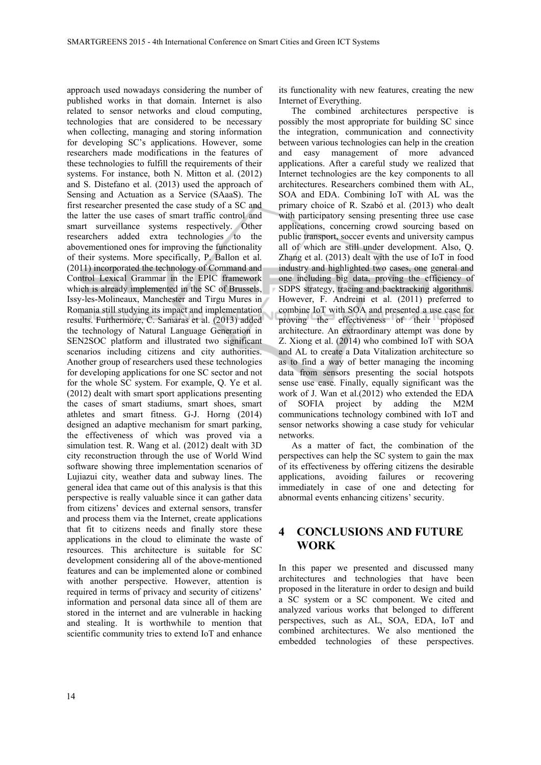approach used nowadays considering the number of published works in that domain. Internet is also related to sensor networks and cloud computing, technologies that are considered to be necessary when collecting, managing and storing information for developing SC's applications. However, some researchers made modifications in the features of these technologies to fulfill the requirements of their systems. For instance, both N. Mitton et al. (2012) and S. Distefano et al. (2013) used the approach of Sensing and Actuation as a Service (SAaaS). The first researcher presented the case study of a SC and the latter the use cases of smart traffic control and smart surveillance systems respectively. Other researchers added extra technologies to the abovementioned ones for improving the functionality of their systems. More specifically, P. Ballon et al. (2011) incorporated the technology of Command and Control Lexical Grammar in the EPIC framework which is already implemented in the SC of Brussels, Issy-les-Molineaux, Manchester and Tirgu Mures in Romania still studying its impact and implementation results. Furthermore, C. Samaras et al. (2013) added the technology of Natural Language Generation in SEN2SOC platform and illustrated two significant scenarios including citizens and city authorities. Another group of researchers used these technologies for developing applications for one SC sector and not for the whole SC system. For example, Q. Ye et al. (2012) dealt with smart sport applications presenting the cases of smart stadiums, smart shoes, smart athletes and smart fitness. G-J. Horng (2014) designed an adaptive mechanism for smart parking, the effectiveness of which was proved via a simulation test. R. Wang et al. (2012) dealt with 3D city reconstruction through the use of World Wind software showing three implementation scenarios of Lujiazui city, weather data and subway lines. The general idea that came out of this analysis is that this perspective is really valuable since it can gather data from citizens' devices and external sensors, transfer and process them via the Internet, create applications that fit to citizens needs and finally store these applications in the cloud to eliminate the waste of resources. This architecture is suitable for SC development considering all of the above-mentioned features and can be implemented alone or combined with another perspective. However, attention is required in terms of privacy and security of citizens' information and personal data since all of them are stored in the internet and are vulnerable in hacking and stealing. It is worthwhile to mention that scientific community tries to extend IoT and enhance

its functionality with new features, creating the new Internet of Everything.

The combined architectures perspective is possibly the most appropriate for building SC since the integration, communication and connectivity between various technologies can help in the creation and easy management of more advanced applications. After a careful study we realized that Internet technologies are the key components to all architectures. Researchers combined them with AL, SOA and EDA. Combining IoT with AL was the primary choice of R. Szabó et al. (2013) who dealt with participatory sensing presenting three use case applications, concerning crowd sourcing based on public transport, soccer events and university campus all of which are still under development. Also, Q. Zhang et al. (2013) dealt with the use of IoT in food industry and highlighted two cases, one general and one including big data, proving the efficiency of SDPS strategy, tracing and backtracking algorithms. However, F. Andreini et al. (2011) preferred to combine IoT with SOA and presented a use case for proving the effectiveness of their proposed architecture. An extraordinary attempt was done by Z. Xiong et al. (2014) who combined IoT with SOA and AL to create a Data Vitalization architecture so as to find a way of better managing the incoming data from sensors presenting the social hotspots sense use case. Finally, equally significant was the work of J. Wan et al.(2012) who extended the EDA of SOFIA project by adding the M2M communications technology combined with IoT and sensor networks showing a case study for vehicular networks.

As a matter of fact, the combination of the perspectives can help the SC system to gain the max of its effectiveness by offering citizens the desirable applications, avoiding failures or recovering immediately in case of one and detecting for abnormal events enhancing citizens' security.

# **4 CONCLUSIONS AND FUTURE WORK**

In this paper we presented and discussed many architectures and technologies that have been proposed in the literature in order to design and build a SC system or a SC component. We cited and analyzed various works that belonged to different perspectives, such as AL, SOA, EDA, IoT and combined architectures. We also mentioned the embedded technologies of these perspectives.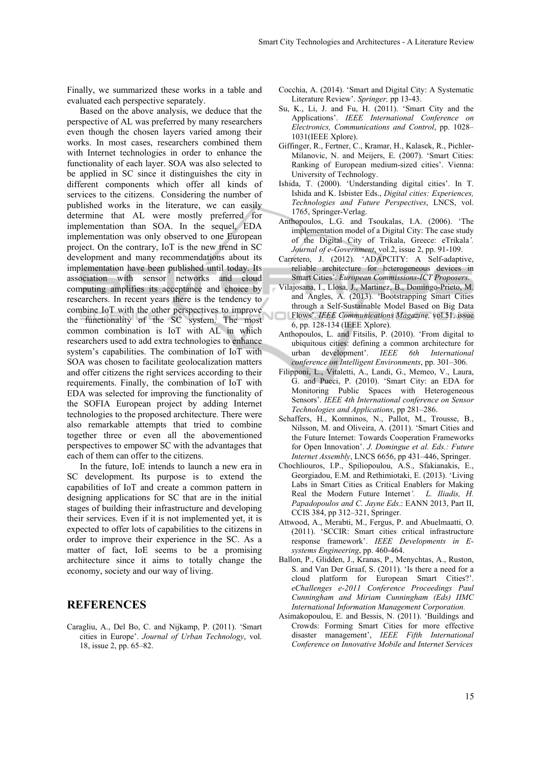Finally, we summarized these works in a table and evaluated each perspective separately.

Based on the above analysis, we deduce that the perspective of AL was preferred by many researchers even though the chosen layers varied among their works. In most cases, researchers combined them with Internet technologies in order to enhance the functionality of each layer. SOA was also selected to be applied in SC since it distinguishes the city in different components which offer all kinds of services to the citizens. Considering the number of published works in the literature, we can easily determine that AL were mostly preferred for implementation than SOA. In the sequel, EDA implementation was only observed to one European project. On the contrary, IoT is the new trend in SC development and many recommendations about its implementation have been published until today. Its association with sensor networks and cloud computing amplifies its acceptance and choice by researchers. In recent years there is the tendency to combine IoT with the other perspectives to improve the functionality of the SC system. The most common combination is IoT with AL in which researchers used to add extra technologies to enhance system's capabilities. The combination of IoT with SOA was chosen to facilitate geolocalization matters and offer citizens the right services according to their requirements. Finally, the combination of IoT with EDA was selected for improving the functionality of the SOFIA European project by adding Internet technologies to the proposed architecture. There were also remarkable attempts that tried to combine together three or even all the abovementioned perspectives to empower SC with the advantages that each of them can offer to the citizens.

In the future, IoE intends to launch a new era in SC development. Its purpose is to extend the capabilities of IoT and create a common pattern in designing applications for SC that are in the initial stages of building their infrastructure and developing their services. Even if it is not implemented yet, it is expected to offer lots of capabilities to the citizens in order to improve their experience in the SC. As a matter of fact, IoE seems to be a promising architecture since it aims to totally change the economy, society and our way of living.

# **REFERENCES**

Caragliu, A., Del Bo, C. and Nijkamp, P. (2011). 'Smart cities in Europe'. *Journal of Urban Technology*, vol. 18, issue 2, pp. 65–82.

- Cocchia, A. (2014). 'Smart and Digital City: A Systematic Literature Review'. *Springer,* pp 13-43.
- Su, K., Li, J. and Fu, H. (2011). 'Smart City and the Applications'. *IEEE International Conference on Electronics, Communications and Control*, pp. 1028– 1031(IEEE Xplore).
- Giffinger, R., Fertner, C., Kramar, H., Kalasek, R., Pichler-Milanovic, N. and Meijers, E. (2007). 'Smart Cities: Ranking of European medium-sized cities'. Vienna: University of Technology.
- Ishida, T. (2000). 'Understanding digital cities'. In T. Ishida and K. Isbister Eds., *Digital cities: Experiences, Technologies and Future Perspectives*, LNCS, vol. 1765, Springer-Verlag.
- Anthopoulos, L.G. and Tsoukalas, I.A. (2006). 'The implementation model of a Digital City: The case study of the Digital City of Trikala, Greece: eTrikala*'. Journal of e-Government*, vol.2, issue 2, pp. 91-109.
- Carretero, J. (2012). 'ADAPCITY: A Self-adaptive, reliable architecture for heterogeneous devices in Smart Cities'. *European Commissions-ICT Proposers.*
- Vilajosana, I., Llosa, J., Martinez, B., Domingo-Prieto, M. and Angles, A. (2013). 'Bootstrapping Smart Cities through a Self-Sustainable Model Based on Big Data
- Flows'. *IEEE Communications Magazine,* vol.51, issue 6, pp. 128-134 (IEEE Xplore).
- Anthopoulos, L. and Fitsilis, P. (2010). 'From digital to ubiquitous cities: defining a common architecture for urban development'. *IEEE 6th International conference on Intelligent Environments*, pp. 301–306.
- Filipponi, L., Vitaletti, A., Landi, G., Memeo, V., Laura, G. and Pucci, P. (2010). 'Smart City: an EDA for Monitoring Public Spaces with Heterogeneous Sensors'. *IEEE 4th International conference on Sensor Technologies and Applications*, pp 281–286.
- Schaffers, H., Komninos, N., Pallot, M., Trousse, B., Nilsson, M. and Oliveira, A. (2011). 'Smart Cities and the Future Internet: Towards Cooperation Frameworks for Open Innovation'. *J. Domingue et al. Eds.: Future Internet Assembly*, LNCS 6656, pp 431–446, Springer.
- Chochliouros, I.P., Spiliopoulou, A.S., Sfakianakis, E., Georgiadou, E.M. and Rethimiotaki, E. (2013). 'Living Labs in Smart Cities as Critical Enablers for Making Real the Modern Future Internet*'. L. Iliadis, H. Papadopoulos and C. Jayne Eds*.: EANN 2013, Part II, CCIS 384, pp 312–321, Springer.
- Attwood, A., Merabti, M., Fergus, P. and Abuelmaatti, O. (2011). 'SCCIR: Smart cities critical infrastructure response framework'. *IEEE Developments in Esystems Engineering*, pp. 460-464.
- Ballon, P., Glidden, J., Kranas, P., Menychtas, A., Ruston, S. and Van Der Graaf, S. (2011). 'Is there a need for a cloud platform for European Smart Cities?'. *eChallenges e-2011 Conference Proceedings Paul Cunningham and Miriam Cunningham (Eds) IIMC International Information Management Corporation.*
- Asimakopoulou, E. and Bessis, N. (2011). 'Buildings and Crowds: Forming Smart Cities for more effective disaster management', *IEEE Fifth International Conference on Innovative Mobile and Internet Services*